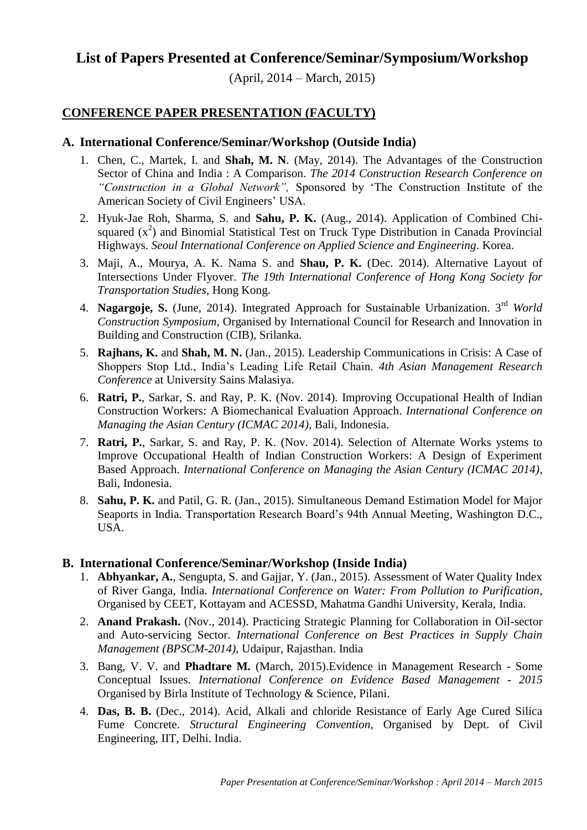# **List of Papers Presented at Conference/Seminar/Symposium/Workshop**

(April, 2014 – March, 2015)

# **CONFERENCE PAPER PRESENTATION (FACULTY)**

## **A. International Conference/Seminar/Workshop (Outside India)**

- 1. Chen, C., Martek, I. and **Shah, M. N**. (May, 2014). The Advantages of the Construction Sector of China and India : A Comparison. *The 2014 Construction Research Conference on "Construction in a Global Network",* Sponsored by 'The Construction Institute of the American Society of Civil Engineers' USA.
- 2. Hyuk-Jae Roh, Sharma, S. and **Sahu, P. K.** (Aug., 2014). Application of Combined Chisquared  $(x^2)$  and Binomial Statistical Test on Truck Type Distribution in Canada Provincial Highways. *Seoul International Conference on Applied Science and Engineering*. Korea.
- 3. Maji, A., Mourya, A. K. Nama S. and **Shau, P. K.** (Dec. 2014). Alternative Layout of Intersections Under Flyover. *The 19th International Conference of Hong Kong Society for Transportation Studies*, Hong Kong.
- 4. **Nagargoje, S.** (June, 2014). Integrated Approach for Sustainable Urbanization. 3rd *World Construction Symposium*, Organised by International Council for Research and Innovation in Building and Construction (CIB), Srilanka.
- 5. **Rajhans, K.** and **Shah, M. N.** (Jan., 2015). Leadership Communications in Crisis: A Case of Shoppers Stop Ltd., India's Leading Life Retail Chain. *4th Asian Management Research Conference* at University Sains Malasiya.
- 6. **Ratri, P.**, Sarkar, S. and Ray, P. K. (Nov. 2014). Improving Occupational Health of Indian Construction Workers: A Biomechanical Evaluation Approach. *International Conference on Managing the Asian Century (ICMAC 2014)*, Bali, Indonesia.
- 7. **Ratri, P.**, Sarkar, S. and Ray, P. K. (Nov. 2014). Selection of Alternate Works ystems to Improve Occupational Health of Indian Construction Workers: A Design of Experiment Based Approach. *International Conference on Managing the Asian Century (ICMAC 2014)*, Bali, Indonesia.
- 8. **Sahu, P. K.** and Patil, G. R. (Jan., 2015). Simultaneous Demand Estimation Model for Major Seaports in India. Transportation Research Board's 94th Annual Meeting, Washington D.C., USA.

#### **B. International Conference/Seminar/Workshop (Inside India)**

- 1. **Abhyankar, A.**, Sengupta, S. and Gajjar, Y. (Jan., 2015). Assessment of Water Quality Index of River Ganga, India. *International Conference on Water: From Pollution to Purification*, Organised by CEET, Kottayam and ACESSD, Mahatma Gandhi University, Kerala, India.
- 2. **Anand Prakash.** (Nov., 2014). Practicing Strategic Planning for Collaboration in Oil-sector and Auto-servicing Sector. *International Conference on Best Practices in Supply Chain Management (BPSCM-2014)*, Udaipur, Rajasthan. India
- 3. Bang, V. V. and **Phadtare M.** (March, 2015).Evidence in Management Research Some Conceptual Issues. *International Conference on Evidence Based Management - 2015* Organised by Birla Institute of Technology & Science, Pilani.
- 4. **Das, B. B.** (Dec., 2014). Acid, Alkali and chloride Resistance of Early Age Cured Silica Fume Concrete. *Structural Engineering Convention*, Organised by Dept. of Civil Engineering, IIT, Delhi. India.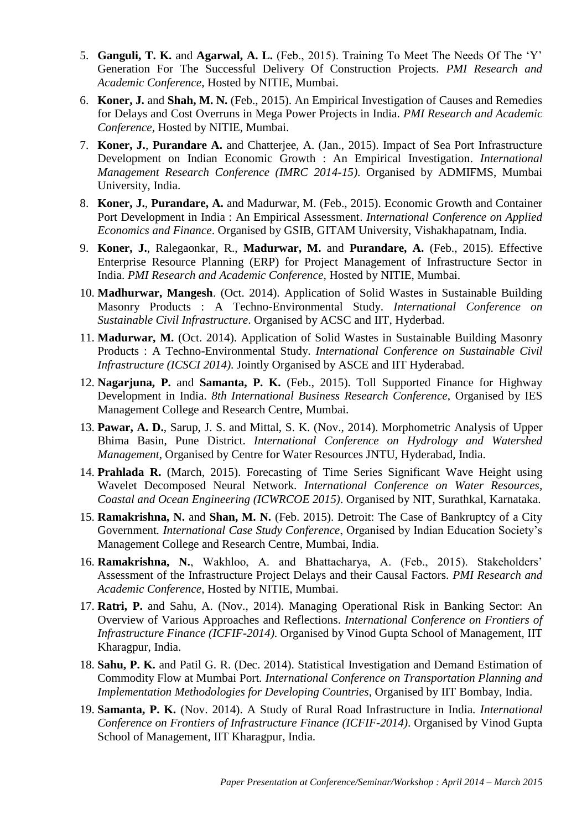- 5. **Ganguli, T. K.** and **Agarwal, A. L.** (Feb., 2015). Training To Meet The Needs Of The 'Y' Generation For The Successful Delivery Of Construction Projects. *PMI Research and Academic Conference*, Hosted by NITIE, Mumbai.
- 6. **Koner, J.** and **Shah, M. N.** (Feb., 2015). An Empirical Investigation of Causes and Remedies for Delays and Cost Overruns in Mega Power Projects in India. *PMI Research and Academic Conference*, Hosted by NITIE, Mumbai.
- 7. **Koner, J.**, **Purandare A.** and Chatterjee, A. (Jan., 2015). Impact of Sea Port Infrastructure Development on Indian Economic Growth : An Empirical Investigation. *International Management Research Conference (IMRC 2014-15)*. Organised by ADMIFMS, Mumbai University, India.
- 8. **Koner, J.**, **Purandare, A.** and Madurwar, M. (Feb., 2015). Economic Growth and Container Port Development in India : An Empirical Assessment. *International Conference on Applied Economics and Finance*. Organised by GSIB, GITAM University, Vishakhapatnam, India.
- 9. **Koner, J.**, Ralegaonkar, R., **Madurwar, M.** and **Purandare, A.** (Feb., 2015). Effective Enterprise Resource Planning (ERP) for Project Management of Infrastructure Sector in India. *PMI Research and Academic Conference*, Hosted by NITIE, Mumbai.
- 10. **Madhurwar, Mangesh**. (Oct. 2014). Application of Solid Wastes in Sustainable Building Masonry Products : A Techno-Environmental Study. *International Conference on Sustainable Civil Infrastructure*. Organised by ACSC and IIT, Hyderbad.
- 11. **Madurwar, M.** (Oct. 2014). Application of Solid Wastes in Sustainable Building Masonry Products : A Techno-Environmental Study. *International Conference on Sustainable Civil Infrastructure (ICSCI 2014)*. Jointly Organised by ASCE and IIT Hyderabad.
- 12. **Nagarjuna, P.** and **Samanta, P. K.** (Feb., 2015). Toll Supported Finance for Highway Development in India. *8th International Business Research Conference*, Organised by IES Management College and Research Centre, Mumbai.
- 13. **Pawar, A. D.**, Sarup, J. S. and Mittal, S. K. (Nov., 2014). Morphometric Analysis of Upper Bhima Basin, Pune District. *International Conference on Hydrology and Watershed Management*, Organised by Centre for Water Resources JNTU, Hyderabad, India.
- 14. **Prahlada R.** (March, 2015). Forecasting of Time Series Significant Wave Height using Wavelet Decomposed Neural Network. *International Conference on Water Resources, Coastal and Ocean Engineering (ICWRCOE 2015)*. Organised by NIT, Surathkal, Karnataka.
- 15. **Ramakrishna, N.** and **Shan, M. N.** (Feb. 2015). Detroit: The Case of Bankruptcy of a City Government*. International Case Study Conference*, Organised by Indian Education Society's Management College and Research Centre, Mumbai, India.
- 16. **Ramakrishna, N.**, Wakhloo, A. and Bhattacharya, A. (Feb., 2015). Stakeholders' Assessment of the Infrastructure Project Delays and their Causal Factors. *PMI Research and Academic Conference*, Hosted by NITIE, Mumbai.
- 17. **Ratri, P.** and Sahu, A. (Nov., 2014). Managing Operational Risk in Banking Sector: An Overview of Various Approaches and Reflections. *International Conference on Frontiers of Infrastructure Finance (ICFIF-2014)*. Organised by Vinod Gupta School of Management, IIT Kharagpur, India.
- 18. **Sahu, P. K.** and Patil G. R. (Dec. 2014). Statistical Investigation and Demand Estimation of Commodity Flow at Mumbai Port*. International Conference on Transportation Planning and Implementation Methodologies for Developing Countries*, Organised by IIT Bombay, India.
- 19. **Samanta, P. K.** (Nov. 2014). A Study of Rural Road Infrastructure in India. *International Conference on Frontiers of Infrastructure Finance (ICFIF-2014)*. Organised by Vinod Gupta School of Management, IIT Kharagpur, India.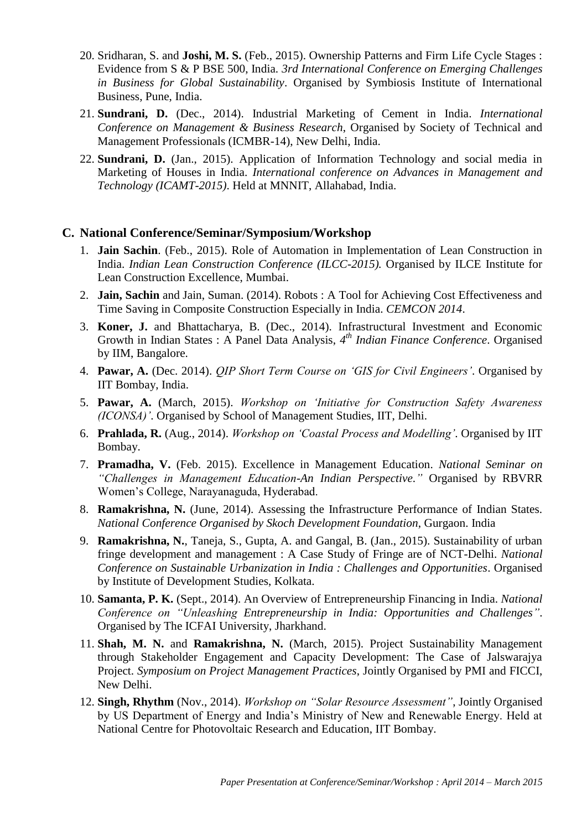- 20. Sridharan, S. and **Joshi, M. S.** (Feb., 2015). Ownership Patterns and Firm Life Cycle Stages : Evidence from S & P BSE 500, India. *3rd International Conference on Emerging Challenges in Business for Global Sustainability*. Organised by Symbiosis Institute of International Business, Pune, India.
- 21. **Sundrani, D.** (Dec., 2014). Industrial Marketing of Cement in India. *International Conference on Management & Business Research*, Organised by Society of Technical and Management Professionals (ICMBR-14), New Delhi, India.
- 22. **Sundrani, D.** (Jan., 2015). Application of Information Technology and social media in Marketing of Houses in India. *International conference on Advances in Management and Technology (ICAMT-2015)*. Held at MNNIT, Allahabad, India.

### **C. National Conference/Seminar/Symposium/Workshop**

- 1. **Jain Sachin**. (Feb., 2015). Role of Automation in Implementation of Lean Construction in India. *Indian Lean Construction Conference (ILCC-2015).* Organised by ILCE Institute for Lean Construction Excellence, Mumbai.
- 2. **Jain, Sachin** and Jain, Suman. (2014). Robots : A Tool for Achieving Cost Effectiveness and Time Saving in Composite Construction Especially in India. *CEMCON 2014*.
- 3. **Koner, J.** and Bhattacharya, B. (Dec., 2014). Infrastructural Investment and Economic Growth in Indian States : A Panel Data Analysis, *4 th Indian Finance Conference*. Organised by IIM, Bangalore.
- 4. **Pawar, A.** (Dec. 2014). *QIP Short Term Course on 'GIS for Civil Engineers'*. Organised by IIT Bombay, India.
- 5. **Pawar, A.** (March, 2015). *Workshop on 'Initiative for Construction Safety Awareness (ICONSA)'*. Organised by School of Management Studies, IIT, Delhi.
- 6. **Prahlada, R.** (Aug., 2014). *Workshop on 'Coastal Process and Modelling'*. Organised by IIT Bombay.
- 7. **Pramadha, V.** (Feb. 2015). Excellence in Management Education. *National Seminar on "Challenges in Management Education-An Indian Perspective."* Organised by RBVRR Women's College, Narayanaguda, Hyderabad.
- 8. **Ramakrishna, N.** (June, 2014). Assessing the Infrastructure Performance of Indian States. *National Conference Organised by Skoch Development Foundation*, Gurgaon. India
- 9. **Ramakrishna, N.**, Taneja, S., Gupta, A. and Gangal, B. (Jan., 2015). Sustainability of urban fringe development and management : A Case Study of Fringe are of NCT-Delhi. *National Conference on Sustainable Urbanization in India : Challenges and Opportunities*. Organised by Institute of Development Studies, Kolkata.
- 10. **Samanta, P. K.** (Sept., 2014). An Overview of Entrepreneurship Financing in India. *National Conference on "Unleashing Entrepreneurship in India: Opportunities and Challenges"*. Organised by The ICFAI University, Jharkhand.
- 11. **Shah, M. N.** and **Ramakrishna, N.** (March, 2015). Project Sustainability Management through Stakeholder Engagement and Capacity Development: The Case of Jalswarajya Project. *Symposium on Project Management Practices*, Jointly Organised by PMI and FICCI, New Delhi.
- 12. **Singh, Rhythm** (Nov., 2014). *Workshop on "Solar Resource Assessment"*, Jointly Organised by US Department of Energy and India's Ministry of New and Renewable Energy. Held at National Centre for Photovoltaic Research and Education, IIT Bombay.